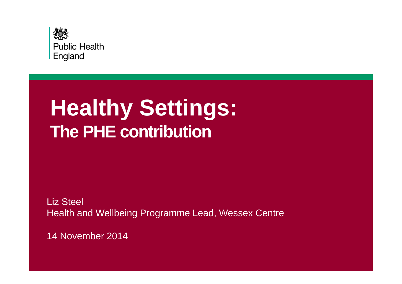

# **Healthy Settings:The PHE contribution**

Liz SteelHealth and Wellbeing Programme Lead, Wessex Centre

14 November 2014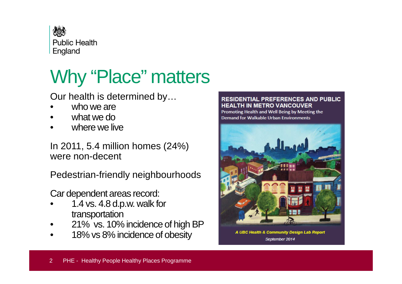

# Why "Place" matters

Our health is determined by…

- •who we are
- what we do•
- where we live •

In 2011, 5.4 million homes (24%) were non-decent

Pedestrian-friendly neighbourhoods

Car dependent areas record:

- 1.4 vs. 4.8 d.p.w. walk for •transportation
- 21% vs. 10% incidence of high BP•
- •18% vs 8% incidence of obesity



A UBC Health & Community Design Lab Report September 2014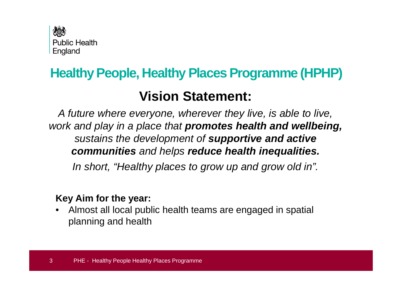

# **Healthy People, Healthy Places Programme (HPHP)**

## **Vision Statement:**

A future where everyone, wherever they live, is able to live, work and play in a place that **promotes health and wellbeing,**sustains the development of **supportive and active communities** and helps **reduce health inequalities.** 

In short, "Healthy places to grow up and grow old in".

### **Key Aim for the year:**

• Almost all local public health teams are engaged in spatial planning and health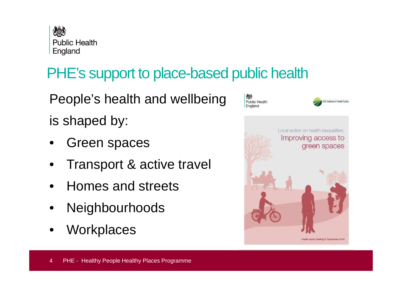

## PHE's support to place-based public health

People's health and wellbeingis shaped by:

- •Green spaces
- •Transport & active travel
- •Homes and streets
- •Neighbourhoods
- •**Workplaces**

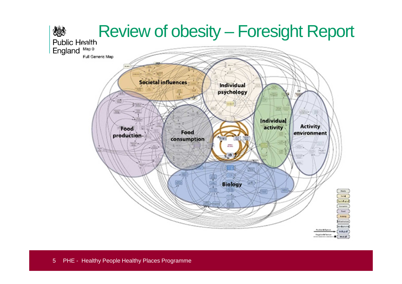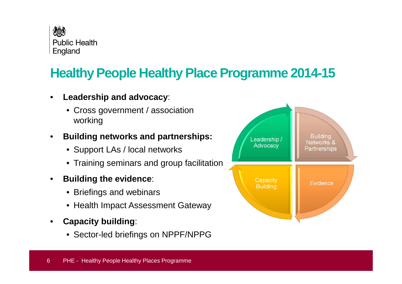

## **Healthy People Healthy Place Programme 2014-15**

- • **Leadership and advocacy**:
	- Cross government / association working
- $\bullet$  **Building networks and partnerships:** 
	- Support LAs / local networks
	- Training seminars and group facilitation
- $\bullet$  **Building the evidence**:
	- Briefings and webinars
	- Health Impact Assessment Gateway
- $\bullet$  **Capacity building**:
	- Sector-led briefings on NPPF/NPPG

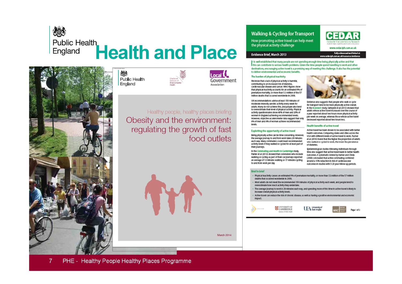

# Public Health<br>England **Health and Place**









Healthy people, healthy places briefing Obesity and the environment: regulating the growth of fast food outlets



### **Walking & Cycling for Transport**

How promoting active travel can help meet the physical activity challenge

### Evidence Brief, March 2013

www.cedar.ksh.cam.ac.uk

Editionize also supposels that people who walk or cycl

for transport tend to be more physically active overall.

In the Konnect study, Sahirped et al (2013) showed that

adults whose active fravel increased over the course of

a year reported about two hours more physical activity

per week on average, whereas those whose active baves

Active travel has been shown to be associated with better

health outcomes. Comparing states and other across the

USA with different levels of active travel to work, Pucher

et al (2010) found that the higher the proportion of adults

who walked or cycled to work, the lower the prevalence

Economical dudes Edowing Individuals through

outcomes. A systematic review by Harner and Chida

(2008) concluded that active commuting contered

outcomes in studies with 5-30 year follow-up periods.

around a 10% reduction in mit of cardiovascular

time also suggest that active travel leach to better health

decreased reported about two hours less.

Health benefits of active travel

of distants.

It is well established that many people are not spending enough time being physically active and that this can contribute to serious health problems. Given the time people spend travelling to work and other destinations, encouraging active travel is a promising way of meeting this challenge. It also has the potential to deliver environmental and economic benefits.

### The burden of physical inactivity

We know that a lack of cityrical activity is harmful. contribution to an increased risk of disturbs. cardiovascular disease and cancer, listed figures show. that physical inactivity accounts for an extimated (Ms of premature montality, or more than 5.3 million of the 57 million deaths that occurred worldwide in 2008.

UK recommendations advise at least 150 minutes of moderate intensity aerotic activity every week for adults. Many do not achieve this, and people also tend to overestrivate their level of physical activity. Physical activity questionnaires show APA of men and 28% of women in England achieving recommended levels. HOwever, objective accelerometer data suppert that only 6% of men and 4% of women achieve recommended **Senato** 

### Exploiting the opportunity of active travel

Being physically active can be time consuming. However, the average journey to and from work takes 20 minutes each way. Many commuters could meet recommended activity levels if they walked or cycled for at least part of their journeys.

In the Commuting and Health in Cambridge study. Partier et al (2013) showed that commuters who include waiking or cycling as part of their car journeys reported an average of 12 minutes waiking or 17 minutes cycling to and from work per day.

### **Brief** in brief

- Physical inactivity causes an estimated Ws of premature mortality, or more than 5.3 million of the 57 million deaths that occurred worldwide in 2008.
- Most adults do not meet the recommended 150-minutes of physical activity each week, and people tend to overestimate how much activity they under take.
- The average journey to work is 28 minutes each way, and spending more of this time in active travel is likely to increase overall physical activity levels.
- Active travel can reduce the risk of chronic disease, as well as having a positive environmental and economic **Impact**

### CAMBRIDGE **LEV** for some

Page 1 of 3

March 2014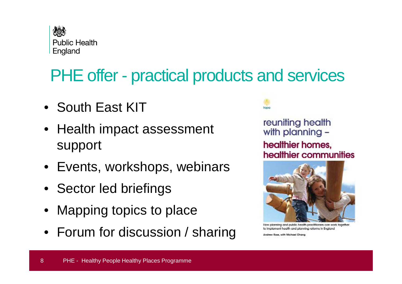

## PHE offer - practical products and services

- South East KIT
- Health impact assessment support
- Events, workshops, webinars
- Sector led briefings
- Mapping topics to place
- Forum for discussion / sharing



reuniting health with planning healthier homes, healthier communities



How planning and public health practitioners can work together to implement health and planning retorms in England

**Ross**, with Michael Cho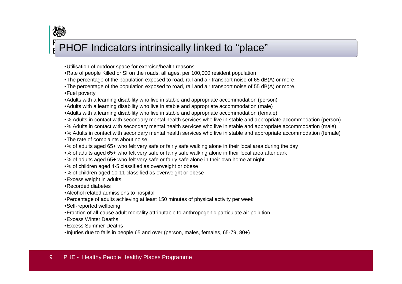

## PHOF Indicators intrinsically linked to "place"

- •Utilisation of outdoor space for exercise/health reasons
- •Rate of people Killed or SI on the roads, all ages, per 100,000 resident population
- •The percentage of the population exposed to road, rail and air transport noise of 65 dB(A) or more,
- •The percentage of the population exposed to road, rail and air transport noise of 55 dB(A) or more,
- •Fuel poverty
- •Adults with a learning disability who live in stable and appropriate accommodation (person)
- •Adults with a learning disability who live in stable and appropriate accommodation (male)
- •Adults with a learning disability who live in stable and appropriate accommodation (female)
- •% Adults in contact with secondary mental health services who live in stable and appropriate accommodation (person)
- •% Adults in contact with secondary mental health services who live in stable and appropriate accommodation (male)
- •% Adults in contact with secondary mental health services who live in stable and appropriate accommodation (female)•The rate of complaints about noise
- •% of adults aged 65+ who felt very safe or fairly safe walking alone in their local area during the day
- •% of adults aged 65+ who felt very safe or fairly safe walking alone in their local area after dark
- •% of adults aged 65+ who felt very safe or fairly safe alone in their own home at night
- •% of children aged 4-5 classified as overweight or obese
- •% of children aged 10-11 classified as overweight or obese
- •Excess weight in adults
- •Recorded diabetes
- •Alcohol related admissions to hospital
- •Percentage of adults achieving at least 150 minutes of physical activity per week
- •Self-reported wellbeing
- •Fraction of all-cause adult mortality attributable to anthropogenic particulate air pollution
- •Excess Winter Deaths
- •Excess Summer Deaths
- •Injuries due to falls in people 65 and over (person, males, females, 65-79, 80+)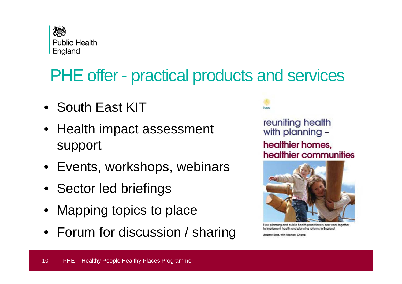

## PHE offer - practical products and services

- South East KIT
- Health impact assessment support
- Events, workshops, webinars
- Sector led briefings
- Mapping topics to place
- Forum for discussion / sharing



reuniting health with planning healthier homes, healthier communities



How planning and public health practitioners can work together to implement health and planning retorms in England

**Ross**, with Michael Cho